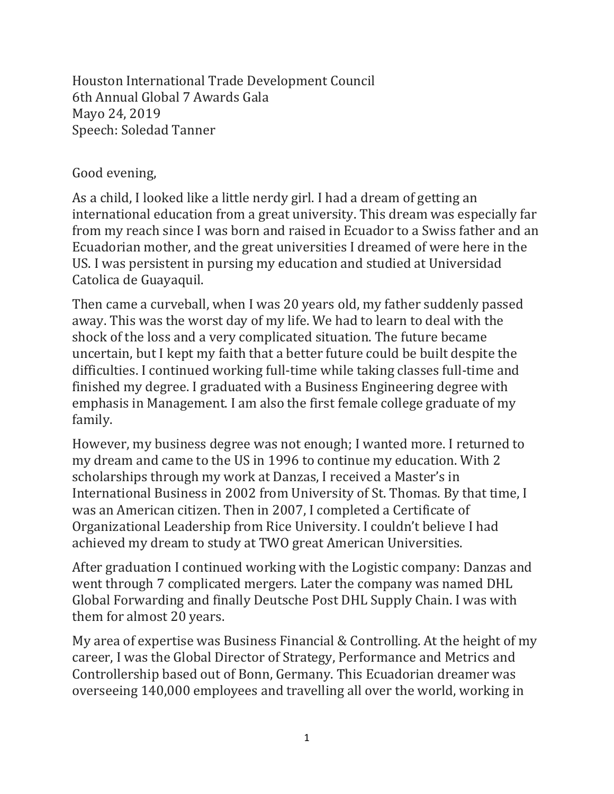Houston International Trade Development Council 6th Annual Global 7 Awards Gala Mayo 24, 2019 Speech: Soledad Tanner

## Good evening,

As a child, I looked like a little nerdy girl. I had a dream of getting an international education from a great university. This dream was especially far from my reach since I was born and raised in Ecuador to a Swiss father and an Ecuadorian mother, and the great universities I dreamed of were here in the US. I was persistent in pursing my education and studied at Universidad Catolica de Guayaquil.

Then came a curveball, when I was 20 years old, my father suddenly passed away. This was the worst day of my life. We had to learn to deal with the shock of the loss and a very complicated situation. The future became uncertain, but I kept my faith that a better future could be built despite the difficulties. I continued working full-time while taking classes full-time and finished my degree. I graduated with a Business Engineering degree with emphasis in Management. I am also the first female college graduate of my family.

However, my business degree was not enough; I wanted more. I returned to my dream and came to the US in 1996 to continue my education. With 2 scholarships through my work at Danzas, I received a Master's in International Business in 2002 from University of St. Thomas. By that time, I was an American citizen. Then in 2007, I completed a Certificate of Organizational Leadership from Rice University. I couldn't believe I had achieved my dream to study at TWO great American Universities.

After graduation I continued working with the Logistic company: Danzas and went through 7 complicated mergers. Later the company was named DHL Global Forwarding and finally Deutsche Post DHL Supply Chain. I was with them for almost 20 years.

My area of expertise was Business Financial & Controlling. At the height of my career, I was the Global Director of Strategy, Performance and Metrics and Controllership based out of Bonn, Germany. This Ecuadorian dreamer was overseeing 140,000 employees and travelling all over the world, working in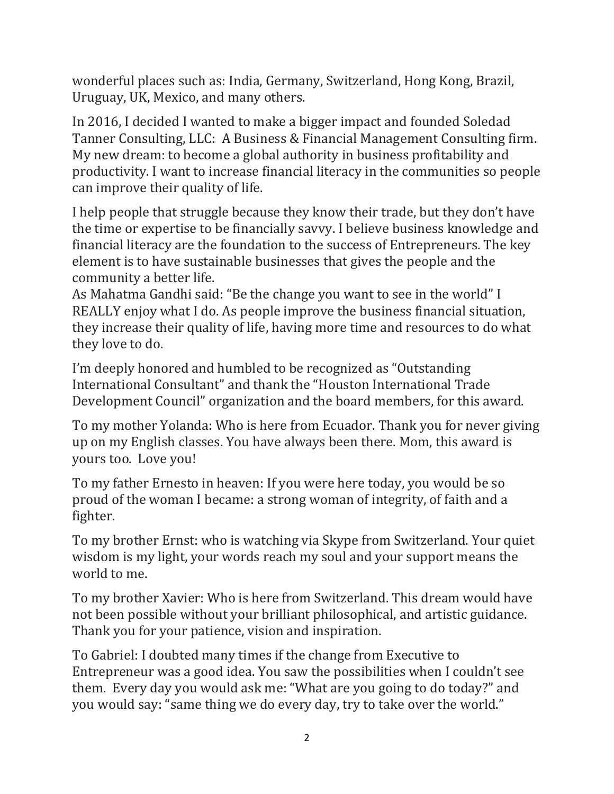wonderful places such as: India, Germany, Switzerland, Hong Kong, Brazil, Uruguay, UK, Mexico, and many others.

In 2016, I decided I wanted to make a bigger impact and founded Soledad Tanner Consulting, LLC: A Business & Financial Management Consulting firm. My new dream: to become a global authority in business profitability and productivity. I want to increase financial literacy in the communities so people can improve their quality of life.

I help people that struggle because they know their trade, but they don't have the time or expertise to be financially savvy. I believe business knowledge and financial literacy are the foundation to the success of Entrepreneurs. The key element is to have sustainable businesses that gives the people and the community a better life.

As Mahatma Gandhi said: "Be the change you want to see in the world" I REALLY enjoy what I do. As people improve the business financial situation, they increase their quality of life, having more time and resources to do what they love to do.

I'm deeply honored and humbled to be recognized as "Outstanding International Consultant" and thank the "Houston International Trade Development Council" organization and the board members, for this award.

To my mother Yolanda: Who is here from Ecuador. Thank you for never giving up on my English classes. You have always been there. Mom, this award is yours too. Love you!

To my father Ernesto in heaven: If you were here today, you would be so proud of the woman I became: a strong woman of integrity, of faith and a fighter.

To my brother Ernst: who is watching via Skype from Switzerland. Your quiet wisdom is my light, your words reach my soul and your support means the world to me.

To my brother Xavier: Who is here from Switzerland. This dream would have not been possible without your brilliant philosophical, and artistic guidance. Thank you for your patience, vision and inspiration.

To Gabriel: I doubted many times if the change from Executive to Entrepreneur was a good idea. You saw the possibilities when I couldn't see them. Every day you would ask me: "What are you going to do today?" and you would say: "same thing we do every day, try to take over the world."